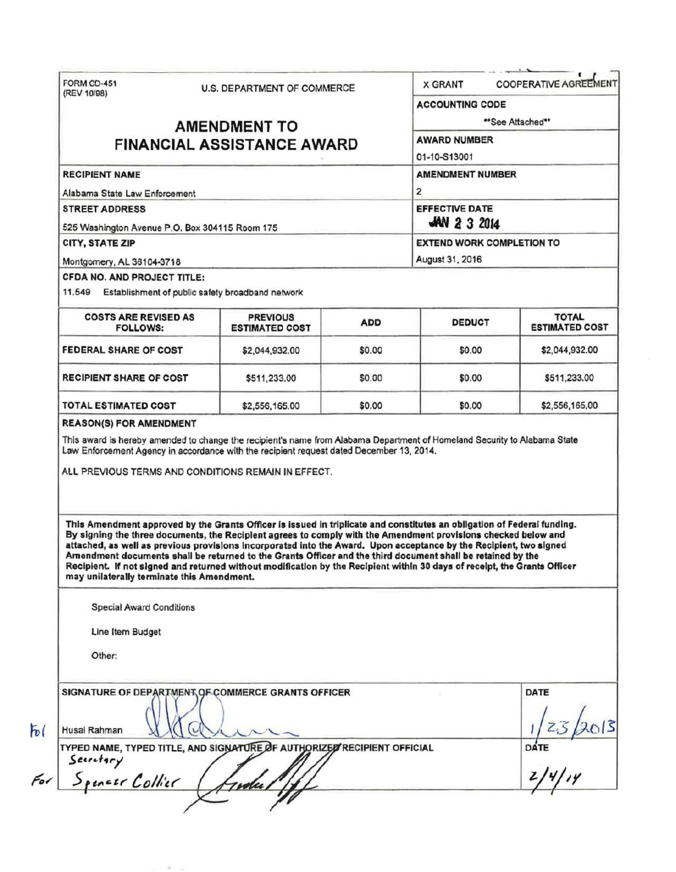| (REV 10/98)                                                                            |                                   | U.S. DEPARTMENT OF COMMERCE                                                                                                                                                                                                                                                                                                                                                                                                                                                    |                       | <b>COOPERATIVE AGREEMENT</b><br><b>X GRANT</b> |                                       |  |
|----------------------------------------------------------------------------------------|-----------------------------------|--------------------------------------------------------------------------------------------------------------------------------------------------------------------------------------------------------------------------------------------------------------------------------------------------------------------------------------------------------------------------------------------------------------------------------------------------------------------------------|-----------------------|------------------------------------------------|---------------------------------------|--|
|                                                                                        |                                   |                                                                                                                                                                                                                                                                                                                                                                                                                                                                                |                       | <b>ACCOUNTING CODE</b>                         |                                       |  |
|                                                                                        | <b>AMENDMENT TO</b>               | **See Attached**                                                                                                                                                                                                                                                                                                                                                                                                                                                               |                       |                                                |                                       |  |
|                                                                                        | <b>FINANCIAL ASSISTANCE AWARD</b> | <b>AWARD NUMBER</b>                                                                                                                                                                                                                                                                                                                                                                                                                                                            |                       |                                                |                                       |  |
|                                                                                        |                                   | 01-10-S13001                                                                                                                                                                                                                                                                                                                                                                                                                                                                   |                       |                                                |                                       |  |
| <b>RECIPIENT NAME</b>                                                                  |                                   |                                                                                                                                                                                                                                                                                                                                                                                                                                                                                |                       | <b>AMENDMENT NUMBER</b><br>$\mathbf{2}$        |                                       |  |
| Alabama State Law Enforcement                                                          |                                   |                                                                                                                                                                                                                                                                                                                                                                                                                                                                                |                       |                                                |                                       |  |
| <b>STREET ADDRESS</b>                                                                  |                                   |                                                                                                                                                                                                                                                                                                                                                                                                                                                                                | <b>EFFECTIVE DATE</b> |                                                |                                       |  |
| 525 Washington Avenue P.O. Box 304115 Room 175                                         |                                   |                                                                                                                                                                                                                                                                                                                                                                                                                                                                                |                       | $AN$ 2 3 2014                                  |                                       |  |
| CITY, STATE ZIP                                                                        |                                   | <b>EXTEND WORK COMPLETION TO</b>                                                                                                                                                                                                                                                                                                                                                                                                                                               |                       |                                                |                                       |  |
| Montgomery, AL 36104-3718                                                              |                                   |                                                                                                                                                                                                                                                                                                                                                                                                                                                                                |                       | August 31, 2016                                |                                       |  |
| CFDA NO. AND PROJECT TITLE:<br>11.549 Establishment of public safety broadband network |                                   |                                                                                                                                                                                                                                                                                                                                                                                                                                                                                |                       |                                                |                                       |  |
| <b>COSTS ARE REVISED AS</b><br><b>FOLLOWS:</b>                                         |                                   | <b>PREVIOUS</b><br><b>ESTIMATED COST</b>                                                                                                                                                                                                                                                                                                                                                                                                                                       | <b>ADD</b>            | <b>DEDUCT</b>                                  | <b>TOTAL</b><br><b>ESTIMATED COST</b> |  |
| FEDERAL SHARE OF COST                                                                  |                                   | \$2,044,932.00                                                                                                                                                                                                                                                                                                                                                                                                                                                                 | \$0.00                | \$0.00                                         | \$2,044,932.00                        |  |
| <b>RECIPIENT SHARE OF COST</b>                                                         |                                   | \$511,233.00                                                                                                                                                                                                                                                                                                                                                                                                                                                                   | \$0.00                | \$0.00                                         | \$511,233.00                          |  |
|                                                                                        |                                   |                                                                                                                                                                                                                                                                                                                                                                                                                                                                                |                       |                                                |                                       |  |
| TOTAL ESTIMATED COST<br><b>REASON(S) FOR AMENDMENT</b>                                 |                                   | \$2,556,165.00<br>This award is hereby amended to change the recipient's name from Alabama Department of Homeland Security to Alabama State<br>Law Enforcement Agency in accordance with the recipient request dated December 13, 2014.<br>ALL PREVIOUS TERMS AND CONDITIONS REMAIN IN EFFECT.                                                                                                                                                                                 | \$0.00                | \$0.00                                         |                                       |  |
|                                                                                        |                                   | This Amendment approved by the Grants Officer is issued in triplicate and constitutes an obligation of Federal funding.<br>By signing the three documents, the Reciplent agrees to comply with the Amendment provisions checked below and<br>attached, as well as previous provisions incorporated into the Award. Upon acceptance by the Recipient, two signed<br>Amendment documents shall be returned to the Grants Officer and the third document shall be retained by the |                       |                                                |                                       |  |
| may unilaterally terminate this Amendment.<br><b>Special Award Conditions</b>          |                                   | Recipient. If not signed and returned without modification by the Recipient within 30 days of receipt, the Grants Officer                                                                                                                                                                                                                                                                                                                                                      |                       |                                                |                                       |  |
| Line Item Budget                                                                       |                                   |                                                                                                                                                                                                                                                                                                                                                                                                                                                                                |                       |                                                | \$2,556,165.00                        |  |
| Other:                                                                                 |                                   |                                                                                                                                                                                                                                                                                                                                                                                                                                                                                |                       |                                                |                                       |  |
| Husai Rahman                                                                           |                                   | SIGNATURE OF DEPARTMENT OF COMMERCE GRANTS OFFICER                                                                                                                                                                                                                                                                                                                                                                                                                             |                       |                                                | DATE                                  |  |
| Secretary<br>Spencer Collier                                                           |                                   | TYPED NAME, TYPED TITLE, AND SIGNATURE OF AUTHORIZED RECIPIENT OFFICIAL                                                                                                                                                                                                                                                                                                                                                                                                        |                       |                                                | DATE                                  |  |